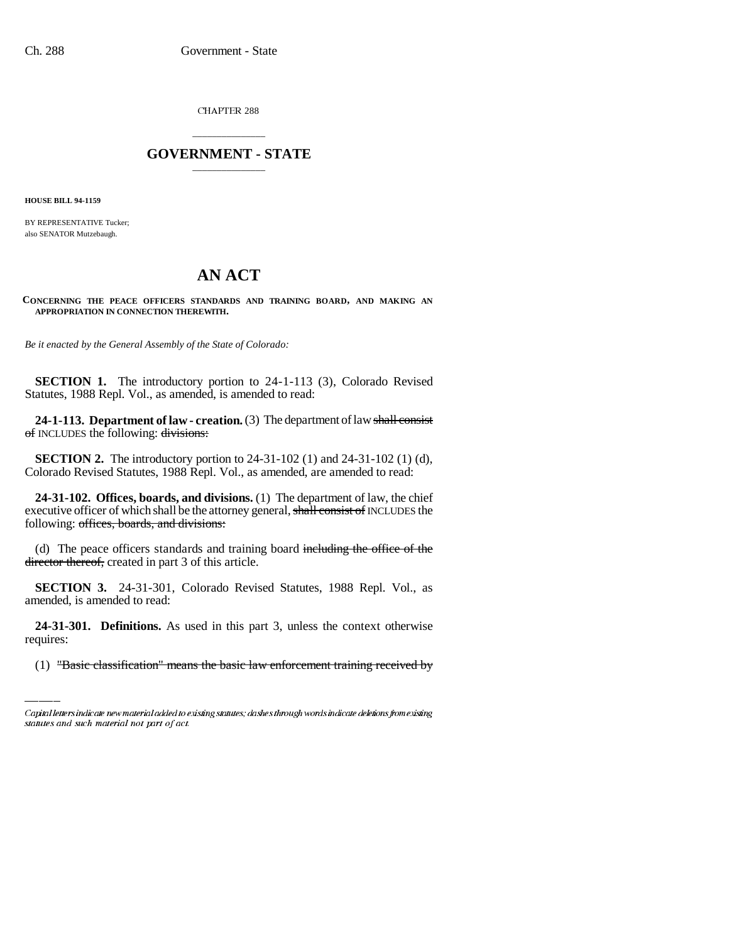CHAPTER 288

## \_\_\_\_\_\_\_\_\_\_\_\_\_\_\_ **GOVERNMENT - STATE** \_\_\_\_\_\_\_\_\_\_\_\_\_\_\_

**HOUSE BILL 94-1159**

BY REPRESENTATIVE Tucker; also SENATOR Mutzebaugh.

## **AN ACT**

**CONCERNING THE PEACE OFFICERS STANDARDS AND TRAINING BOARD, AND MAKING AN APPROPRIATION IN CONNECTION THEREWITH.**

*Be it enacted by the General Assembly of the State of Colorado:*

**SECTION 1.** The introductory portion to 24-1-113 (3), Colorado Revised Statutes, 1988 Repl. Vol., as amended, is amended to read:

**24-1-113. Department of law - creation.** (3) The department of law shall consist of INCLUDES the following: divisions:

**SECTION 2.** The introductory portion to 24-31-102 (1) and 24-31-102 (1) (d), Colorado Revised Statutes, 1988 Repl. Vol., as amended, are amended to read:

**24-31-102. Offices, boards, and divisions.** (1) The department of law, the chief executive officer of which shall be the attorney general, shall consist of INCLUDES the following: offices, boards, and divisions:

(d) The peace officers standards and training board including the office of the director thereof, created in part 3 of this article.

**SECTION 3.** 24-31-301, Colorado Revised Statutes, 1988 Repl. Vol., as amended, is amended to read:

**24-31-301. Definitions.** As used in this part 3, unless the context otherwise requires:

(1) "Basic classification" means the basic law enforcement training received by

Capital letters indicate new material added to existing statutes; dashes through words indicate deletions from existing statutes and such material not part of act.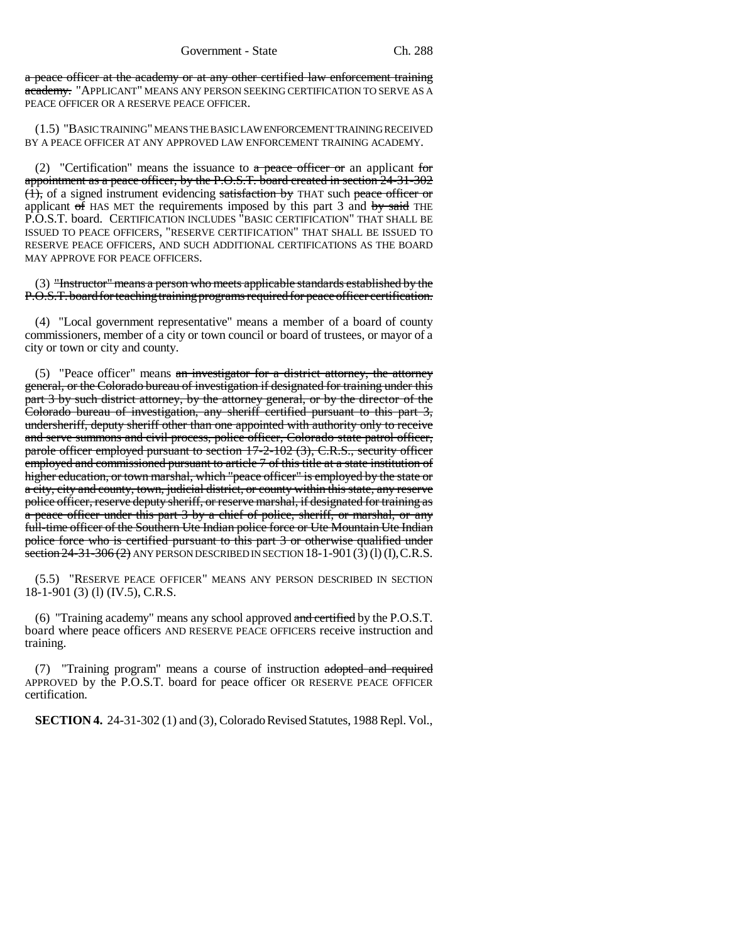a peace officer at the academy or at any other certified law enforcement training academy. "APPLICANT" MEANS ANY PERSON SEEKING CERTIFICATION TO SERVE AS A PEACE OFFICER OR A RESERVE PEACE OFFICER.

(1.5) "BASIC TRAINING" MEANS THE BASIC LAW ENFORCEMENT TRAINING RECEIVED BY A PEACE OFFICER AT ANY APPROVED LAW ENFORCEMENT TRAINING ACADEMY.

(2) "Certification" means the issuance to  $a$  peace officer or an applicant for appointment as a peace officer, by the P.O.S.T. board created in section 24-31-302 (1), of a signed instrument evidencing satisfaction by THAT such peace officer or applicant  $\sigma$  HAS MET the requirements imposed by this part 3 and  $\sigma$  by said THE P.O.S.T. board. CERTIFICATION INCLUDES "BASIC CERTIFICATION" THAT SHALL BE ISSUED TO PEACE OFFICERS, "RESERVE CERTIFICATION" THAT SHALL BE ISSUED TO RESERVE PEACE OFFICERS, AND SUCH ADDITIONAL CERTIFICATIONS AS THE BOARD MAY APPROVE FOR PEACE OFFICERS.

(3) "Instructor" means a person who meets applicable standards established by the P.O.S.T. board for teaching training programs required for peace officer certification.

(4) "Local government representative" means a member of a board of county commissioners, member of a city or town council or board of trustees, or mayor of a city or town or city and county.

(5) "Peace officer" means  $an$  investigator for a district attorney, the attorney general, or the Colorado bureau of investigation if designated for training under this part 3 by such district attorney, by the attorney general, or by the director of the Colorado bureau of investigation, any sheriff certified pursuant to this part 3, undersheriff, deputy sheriff other than one appointed with authority only to receive and serve summons and civil process, police officer, Colorado state patrol officer, parole officer employed pursuant to section 17-2-102 (3), C.R.S., security officer employed and commissioned pursuant to article 7 of this title at a state institution of higher education, or town marshal, which "peace officer" is employed by the state or a city, city and county, town, judicial district, or county within this state, any reserve police officer, reserve deputy sheriff, or reserve marshal, if designated for training as a peace officer under this part 3 by a chief of police, sheriff, or marshal, or any full-time officer of the Southern Ute Indian police force or Ute Mountain Ute Indian police force who is certified pursuant to this part 3 or otherwise qualified under section  $24-31-306(2)$  ANY PERSON DESCRIBED IN SECTION  $18-1-901(3)(1)(1)$ , C.R.S.

(5.5) "RESERVE PEACE OFFICER" MEANS ANY PERSON DESCRIBED IN SECTION 18-1-901 (3) (l) (IV.5), C.R.S.

(6) "Training academy" means any school approved and certified by the P.O.S.T. board where peace officers AND RESERVE PEACE OFFICERS receive instruction and training.

(7) "Training program" means a course of instruction adopted and required APPROVED by the P.O.S.T. board for peace officer OR RESERVE PEACE OFFICER certification.

**SECTION 4.** 24-31-302 (1) and (3), Colorado Revised Statutes, 1988 Repl. Vol.,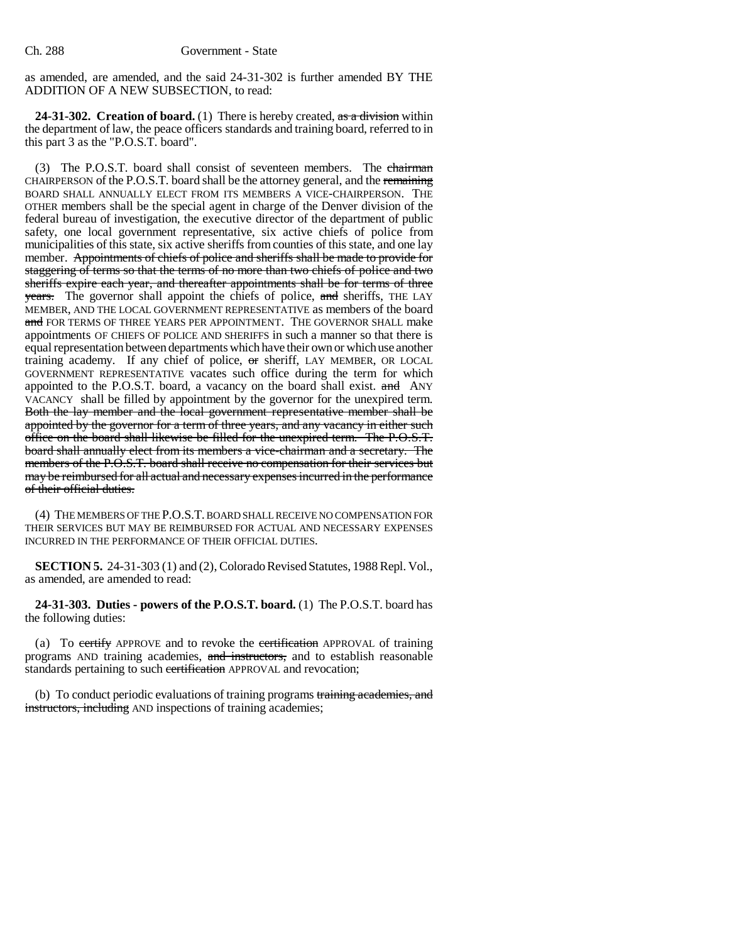as amended, are amended, and the said 24-31-302 is further amended BY THE ADDITION OF A NEW SUBSECTION, to read:

**24-31-302. Creation of board.** (1) There is hereby created, as a division within the department of law, the peace officers standards and training board, referred to in this part 3 as the "P.O.S.T. board".

(3) The P.O.S.T. board shall consist of seventeen members. The chairman CHAIRPERSON of the P.O.S.T. board shall be the attorney general, and the remaining BOARD SHALL ANNUALLY ELECT FROM ITS MEMBERS A VICE-CHAIRPERSON. THE OTHER members shall be the special agent in charge of the Denver division of the federal bureau of investigation, the executive director of the department of public safety, one local government representative, six active chiefs of police from municipalities of this state, six active sheriffs from counties of this state, and one lay member. Appointments of chiefs of police and sheriffs shall be made to provide for staggering of terms so that the terms of no more than two chiefs of police and two sheriffs expire each year, and thereafter appointments shall be for terms of three **years.** The governor shall appoint the chiefs of police, and sheriffs, THE LAY MEMBER, AND THE LOCAL GOVERNMENT REPRESENTATIVE as members of the board and FOR TERMS OF THREE YEARS PER APPOINTMENT. THE GOVERNOR SHALL make appointments OF CHIEFS OF POLICE AND SHERIFFS in such a manner so that there is equal representation between departments which have their own or which use another training academy. If any chief of police, or sheriff, LAY MEMBER, OR LOCAL GOVERNMENT REPRESENTATIVE vacates such office during the term for which appointed to the P.O.S.T. board, a vacancy on the board shall exist.  $\alpha$ nd ANY VACANCY shall be filled by appointment by the governor for the unexpired term. Both the lay member and the local government representative member shall be appointed by the governor for a term of three years, and any vacancy in either such office on the board shall likewise be filled for the unexpired term. The P.O.S.T. board shall annually elect from its members a vice-chairman and a secretary. The members of the P.O.S.T. board shall receive no compensation for their services but may be reimbursed for all actual and necessary expenses incurred in the performance of their official duties.

(4) THE MEMBERS OF THE P.O.S.T. BOARD SHALL RECEIVE NO COMPENSATION FOR THEIR SERVICES BUT MAY BE REIMBURSED FOR ACTUAL AND NECESSARY EXPENSES INCURRED IN THE PERFORMANCE OF THEIR OFFICIAL DUTIES.

**SECTION 5.** 24-31-303 (1) and (2), Colorado Revised Statutes, 1988 Repl. Vol., as amended, are amended to read:

**24-31-303. Duties - powers of the P.O.S.T. board.** (1) The P.O.S.T. board has the following duties:

(a) To certify APPROVE and to revoke the certification APPROVAL of training programs AND training academies, and instructors, and to establish reasonable standards pertaining to such certification APPROVAL and revocation;

(b) To conduct periodic evaluations of training programs training academies, and instructors, including AND inspections of training academies;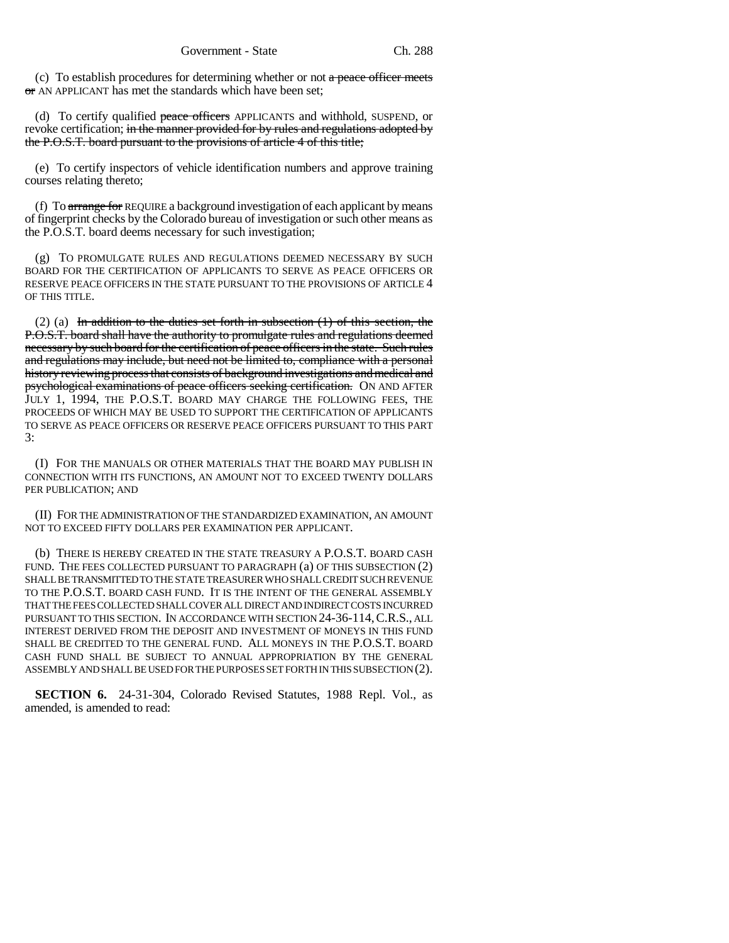(c) To establish procedures for determining whether or not  $a$  peace officer meets or AN APPLICANT has met the standards which have been set;

(d) To certify qualified peace officers APPLICANTS and withhold, SUSPEND, or revoke certification; in the manner provided for by rules and regulations adopted by the P.O.S.T. board pursuant to the provisions of article 4 of this title;

(e) To certify inspectors of vehicle identification numbers and approve training courses relating thereto;

(f) To  $\frac{1}{2}$  To  $\frac{1}{2}$  arrange for REQUIRE a background investigation of each applicant by means of fingerprint checks by the Colorado bureau of investigation or such other means as the P.O.S.T. board deems necessary for such investigation;

(g) TO PROMULGATE RULES AND REGULATIONS DEEMED NECESSARY BY SUCH BOARD FOR THE CERTIFICATION OF APPLICANTS TO SERVE AS PEACE OFFICERS OR RESERVE PEACE OFFICERS IN THE STATE PURSUANT TO THE PROVISIONS OF ARTICLE 4 OF THIS TITLE.

(2) (a) In addition to the duties set forth in subsection  $(1)$  of this section, the P.O.S.T. board shall have the authority to promulgate rules and regulations deemed necessary by such board for the certification of peace officers in the state. Such rules and regulations may include, but need not be limited to, compliance with a personal history reviewing process that consists of background investigations and medical and psychological examinations of peace officers seeking certification. ON AND AFTER JULY 1, 1994, THE P.O.S.T. BOARD MAY CHARGE THE FOLLOWING FEES, THE PROCEEDS OF WHICH MAY BE USED TO SUPPORT THE CERTIFICATION OF APPLICANTS TO SERVE AS PEACE OFFICERS OR RESERVE PEACE OFFICERS PURSUANT TO THIS PART 3:

(I) FOR THE MANUALS OR OTHER MATERIALS THAT THE BOARD MAY PUBLISH IN CONNECTION WITH ITS FUNCTIONS, AN AMOUNT NOT TO EXCEED TWENTY DOLLARS PER PUBLICATION; AND

(II) FOR THE ADMINISTRATION OF THE STANDARDIZED EXAMINATION, AN AMOUNT NOT TO EXCEED FIFTY DOLLARS PER EXAMINATION PER APPLICANT.

(b) THERE IS HEREBY CREATED IN THE STATE TREASURY A P.O.S.T. BOARD CASH FUND. THE FEES COLLECTED PURSUANT TO PARAGRAPH (a) OF THIS SUBSECTION (2) SHALL BE TRANSMITTED TO THE STATE TREASURER WHO SHALL CREDIT SUCH REVENUE TO THE P.O.S.T. BOARD CASH FUND. IT IS THE INTENT OF THE GENERAL ASSEMBLY THAT THE FEES COLLECTED SHALL COVER ALL DIRECT AND INDIRECT COSTS INCURRED PURSUANT TO THIS SECTION. IN ACCORDANCE WITH SECTION 24-36-114,C.R.S., ALL INTEREST DERIVED FROM THE DEPOSIT AND INVESTMENT OF MONEYS IN THIS FUND SHALL BE CREDITED TO THE GENERAL FUND. ALL MONEYS IN THE P.O.S.T. BOARD CASH FUND SHALL BE SUBJECT TO ANNUAL APPROPRIATION BY THE GENERAL ASSEMBLY AND SHALL BE USED FOR THE PURPOSES SET FORTH IN THIS SUBSECTION (2).

**SECTION 6.** 24-31-304, Colorado Revised Statutes, 1988 Repl. Vol., as amended, is amended to read: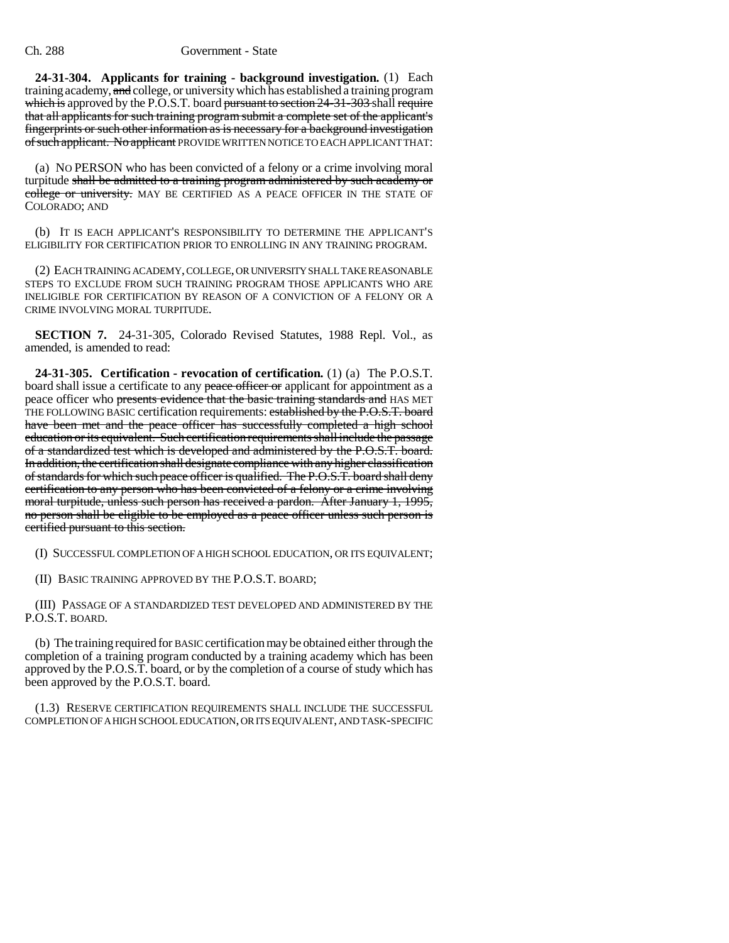**24-31-304. Applicants for training - background investigation.** (1) Each training academy, and college, or university which has established a training program which is approved by the P.O.S.T. board pursuant to section 24-31-303 shall require that all applicants for such training program submit a complete set of the applicant's fingerprints or such other information as is necessary for a background investigation of such applicant. No applicant PROVIDE WRITTEN NOTICE TO EACH APPLICANT THAT:

(a) NO PERSON who has been convicted of a felony or a crime involving moral turpitude shall be admitted to a training program administered by such academy or college or university. MAY BE CERTIFIED AS A PEACE OFFICER IN THE STATE OF COLORADO; AND

(b) IT IS EACH APPLICANT'S RESPONSIBILITY TO DETERMINE THE APPLICANT'S ELIGIBILITY FOR CERTIFICATION PRIOR TO ENROLLING IN ANY TRAINING PROGRAM.

(2) EACH TRAINING ACADEMY, COLLEGE, OR UNIVERSITY SHALL TAKE REASONABLE STEPS TO EXCLUDE FROM SUCH TRAINING PROGRAM THOSE APPLICANTS WHO ARE INELIGIBLE FOR CERTIFICATION BY REASON OF A CONVICTION OF A FELONY OR A CRIME INVOLVING MORAL TURPITUDE.

**SECTION 7.** 24-31-305, Colorado Revised Statutes, 1988 Repl. Vol., as amended, is amended to read:

**24-31-305. Certification - revocation of certification.** (1) (a) The P.O.S.T. board shall issue a certificate to any peace officer or applicant for appointment as a peace officer who presents evidence that the basic training standards and HAS MET THE FOLLOWING BASIC certification requirements: established by the P.O.S.T. board have been met and the peace officer has successfully completed a high school education or its equivalent. Such certification requirements shall include the passage of a standardized test which is developed and administered by the P.O.S.T. board. In addition, the certification shall designate compliance with any higher classification of standards for which such peace officer is qualified. The P.O.S.T. board shall deny certification to any person who has been convicted of a felony or a crime involving moral turpitude, unless such person has received a pardon. After January 1, 1995, no person shall be eligible to be employed as a peace officer unless such person is certified pursuant to this section.

(I) SUCCESSFUL COMPLETION OF A HIGH SCHOOL EDUCATION, OR ITS EQUIVALENT;

(II) BASIC TRAINING APPROVED BY THE P.O.S.T. BOARD;

(III) PASSAGE OF A STANDARDIZED TEST DEVELOPED AND ADMINISTERED BY THE P.O.S.T. BOARD.

(b) The training required for BASIC certification may be obtained either through the completion of a training program conducted by a training academy which has been approved by the P.O.S.T. board, or by the completion of a course of study which has been approved by the P.O.S.T. board.

(1.3) RESERVE CERTIFICATION REQUIREMENTS SHALL INCLUDE THE SUCCESSFUL COMPLETION OF A HIGH SCHOOL EDUCATION, OR ITS EQUIVALENT, AND TASK-SPECIFIC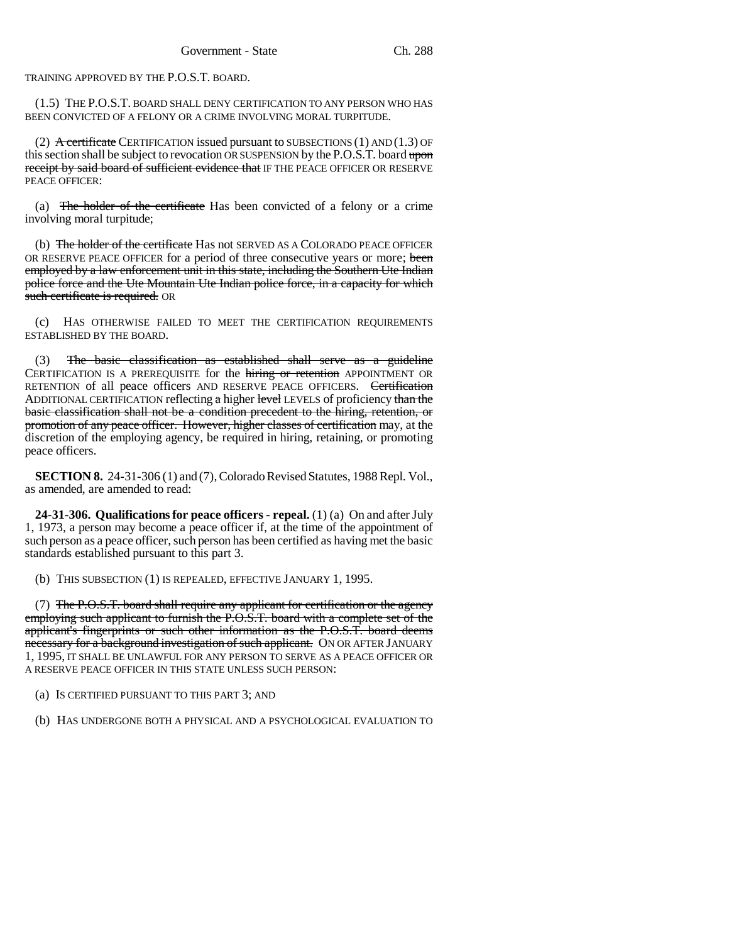TRAINING APPROVED BY THE P.O.S.T. BOARD.

(1.5) THE P.O.S.T. BOARD SHALL DENY CERTIFICATION TO ANY PERSON WHO HAS BEEN CONVICTED OF A FELONY OR A CRIME INVOLVING MORAL TURPITUDE.

(2) A certificate CERTIFICATION issued pursuant to SUBSECTIONS (1) AND (1.3) OF this section shall be subject to revocation OR SUSPENSION by the P.O.S.T. board upon receipt by said board of sufficient evidence that IF THE PEACE OFFICER OR RESERVE PEACE OFFICER:

(a) The holder of the certificate Has been convicted of a felony or a crime involving moral turpitude;

(b) The holder of the certificate Has not SERVED AS A COLORADO PEACE OFFICER OR RESERVE PEACE OFFICER for a period of three consecutive years or more; been employed by a law enforcement unit in this state, including the Southern Ute Indian police force and the Ute Mountain Ute Indian police force, in a capacity for which such certificate is required. OR

(c) HAS OTHERWISE FAILED TO MEET THE CERTIFICATION REQUIREMENTS ESTABLISHED BY THE BOARD.

(3) The basic classification as established shall serve as a guideline CERTIFICATION IS A PREREQUISITE for the hiring or retention APPOINTMENT OR RETENTION of all peace officers AND RESERVE PEACE OFFICERS. Certification ADDITIONAL CERTIFICATION reflecting a higher level LEVELS of proficiency than the basic classification shall not be a condition precedent to the hiring, retention, or promotion of any peace officer. However, higher classes of certification may, at the discretion of the employing agency, be required in hiring, retaining, or promoting peace officers.

**SECTION 8.** 24-31-306 (1) and (7), Colorado Revised Statutes, 1988 Repl. Vol., as amended, are amended to read:

**24-31-306. Qualifications for peace officers - repeal.** (1) (a) On and after July 1, 1973, a person may become a peace officer if, at the time of the appointment of such person as a peace officer, such person has been certified as having met the basic standards established pursuant to this part 3.

(b) THIS SUBSECTION (1) IS REPEALED, EFFECTIVE JANUARY 1, 1995.

(7) The P.O.S.T. board shall require any applicant for certification or the agency employing such applicant to furnish the P.O.S.T. board with a complete set of the applicant's fingerprints or such other information as the P.O.S.T. board deems necessary for a background investigation of such applicant. ON OR AFTER JANUARY 1, 1995, IT SHALL BE UNLAWFUL FOR ANY PERSON TO SERVE AS A PEACE OFFICER OR A RESERVE PEACE OFFICER IN THIS STATE UNLESS SUCH PERSON:

(a) IS CERTIFIED PURSUANT TO THIS PART 3; AND

(b) HAS UNDERGONE BOTH A PHYSICAL AND A PSYCHOLOGICAL EVALUATION TO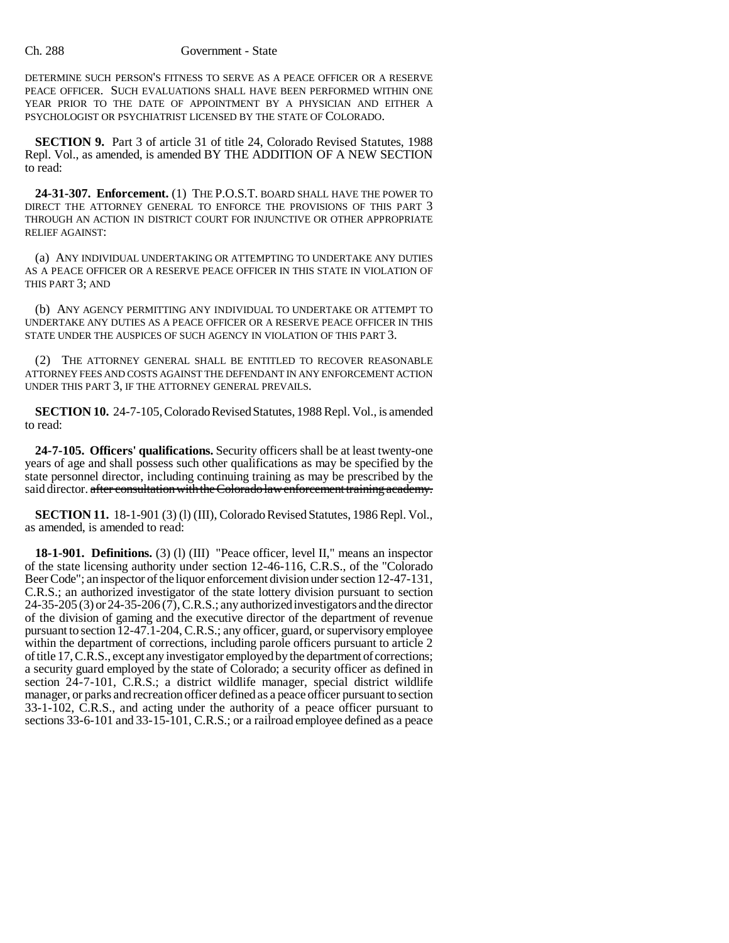## Ch. 288 Government - State

DETERMINE SUCH PERSON'S FITNESS TO SERVE AS A PEACE OFFICER OR A RESERVE PEACE OFFICER. SUCH EVALUATIONS SHALL HAVE BEEN PERFORMED WITHIN ONE YEAR PRIOR TO THE DATE OF APPOINTMENT BY A PHYSICIAN AND EITHER A PSYCHOLOGIST OR PSYCHIATRIST LICENSED BY THE STATE OF COLORADO.

**SECTION 9.** Part 3 of article 31 of title 24, Colorado Revised Statutes, 1988 Repl. Vol., as amended, is amended BY THE ADDITION OF A NEW SECTION to read:

**24-31-307. Enforcement.** (1) THE P.O.S.T. BOARD SHALL HAVE THE POWER TO DIRECT THE ATTORNEY GENERAL TO ENFORCE THE PROVISIONS OF THIS PART 3 THROUGH AN ACTION IN DISTRICT COURT FOR INJUNCTIVE OR OTHER APPROPRIATE RELIEF AGAINST:

(a) ANY INDIVIDUAL UNDERTAKING OR ATTEMPTING TO UNDERTAKE ANY DUTIES AS A PEACE OFFICER OR A RESERVE PEACE OFFICER IN THIS STATE IN VIOLATION OF THIS PART 3; AND

(b) ANY AGENCY PERMITTING ANY INDIVIDUAL TO UNDERTAKE OR ATTEMPT TO UNDERTAKE ANY DUTIES AS A PEACE OFFICER OR A RESERVE PEACE OFFICER IN THIS STATE UNDER THE AUSPICES OF SUCH AGENCY IN VIOLATION OF THIS PART 3.

(2) THE ATTORNEY GENERAL SHALL BE ENTITLED TO RECOVER REASONABLE ATTORNEY FEES AND COSTS AGAINST THE DEFENDANT IN ANY ENFORCEMENT ACTION UNDER THIS PART 3, IF THE ATTORNEY GENERAL PREVAILS.

**SECTION 10.** 24-7-105, Colorado Revised Statutes, 1988 Repl. Vol., is amended to read:

**24-7-105. Officers' qualifications.** Security officers shall be at least twenty-one years of age and shall possess such other qualifications as may be specified by the state personnel director, including continuing training as may be prescribed by the said director. after consultation with the Colorado law enforcement training academy.

**SECTION 11.** 18-1-901 (3) (l) (III), Colorado Revised Statutes, 1986 Repl. Vol., as amended, is amended to read:

**18-1-901. Definitions.** (3) (l) (III) "Peace officer, level II," means an inspector of the state licensing authority under section 12-46-116, C.R.S., of the "Colorado Beer Code"; an inspector of the liquor enforcement division under section 12-47-131, C.R.S.; an authorized investigator of the state lottery division pursuant to section 24-35-205 (3) or 24-35-206 (7), C.R.S.; any authorized investigators and the director of the division of gaming and the executive director of the department of revenue pursuant to section 12-47.1-204, C.R.S.; any officer, guard, or supervisory employee within the department of corrections, including parole officers pursuant to article 2 of title 17, C.R.S., except any investigator employed by the department of corrections; a security guard employed by the state of Colorado; a security officer as defined in section 24-7-101, C.R.S.; a district wildlife manager, special district wildlife manager, or parks and recreation officer defined as a peace officer pursuant to section 33-1-102, C.R.S., and acting under the authority of a peace officer pursuant to sections 33-6-101 and 33-15-101, C.R.S.; or a railroad employee defined as a peace